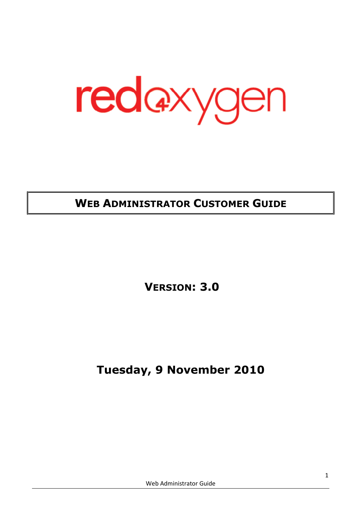redaxygen

# WEB ADMINISTRATOR CUSTOMER GUIDE

VERSION: 3.0

Tuesday, 9 November 2010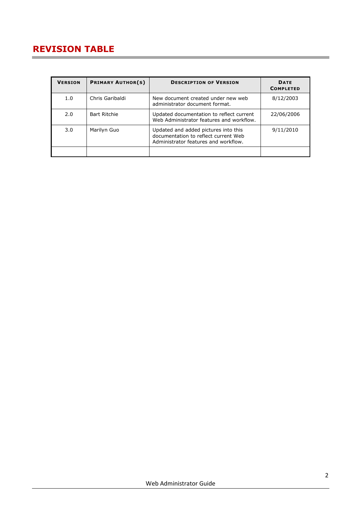## REVISION TABLE

| <b>VERSION</b> | <b>PRIMARY AUTHOR(S)</b> | <b>DESCRIPTION OF VERSION</b>                                                                                        | <b>DATE</b><br><b>COMPLETED</b> |
|----------------|--------------------------|----------------------------------------------------------------------------------------------------------------------|---------------------------------|
| 1.0            | Chris Garibaldi          | New document created under new web<br>administrator document format.                                                 | 8/12/2003                       |
| 2.0            | <b>Bart Ritchie</b>      | Updated documentation to reflect current<br>Web Administrator features and workflow.                                 | 22/06/2006                      |
| 3.0            | Marilyn Guo              | Updated and added pictures into this<br>documentation to reflect current Web<br>Administrator features and workflow. | 9/11/2010                       |
|                |                          |                                                                                                                      |                                 |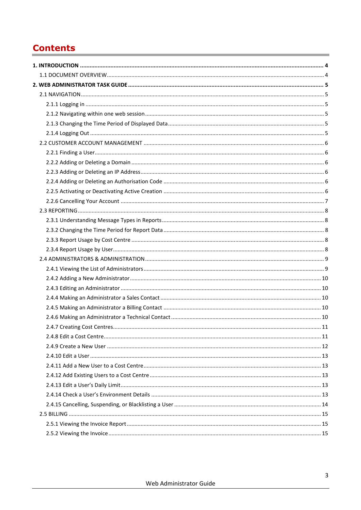# **Contents**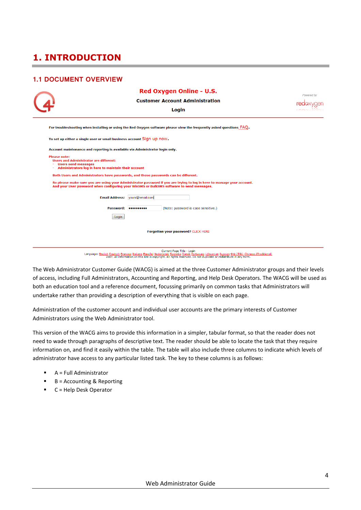# 1. INTRODUCTION

#### 1.1 DOCUMENT OVERVIEW

|                                                                                                                                                                      | Red Oxygen Online - U.S.                                                                                                                                                                                            | Powered by |
|----------------------------------------------------------------------------------------------------------------------------------------------------------------------|---------------------------------------------------------------------------------------------------------------------------------------------------------------------------------------------------------------------|------------|
|                                                                                                                                                                      | <b>Customer Account Administration</b>                                                                                                                                                                              |            |
|                                                                                                                                                                      | Login                                                                                                                                                                                                               |            |
|                                                                                                                                                                      | For troubleshooting when installing or using the Red Oxygen software please view the frequently asked questions FAQ.                                                                                                |            |
| To set up either a single user or small business account Sign up now.                                                                                                |                                                                                                                                                                                                                     |            |
| Account maintenance and reporting is available via Administrator login only.                                                                                         |                                                                                                                                                                                                                     |            |
| <b>Please note:</b><br><b>Users and Administrator are different:</b><br><b>Users send messages</b><br>٠<br>Administrators log in here to maintain their account<br>٠ |                                                                                                                                                                                                                     |            |
| Both Users and Administrators have passwords, and those passwords can be different.                                                                                  |                                                                                                                                                                                                                     |            |
|                                                                                                                                                                      | So please make sure you are using your Administrator password if you are trying to log in here to manage your account.<br>And your User password when configuring your WinSMS or BulkSMS software to send messages. |            |
|                                                                                                                                                                      | Email Address: vours@email.com                                                                                                                                                                                      |            |
|                                                                                                                                                                      | (Note: password is case sensitive.)<br>Password:                                                                                                                                                                    |            |
| Login                                                                                                                                                                |                                                                                                                                                                                                                     |            |
|                                                                                                                                                                      |                                                                                                                                                                                                                     |            |
|                                                                                                                                                                      | Forgotten your password? CLICK HERE                                                                                                                                                                                 |            |
|                                                                                                                                                                      |                                                                                                                                                                                                                     |            |

Current Page Title - Login Language: English Deutsch Français Italiano Español Nederlands Svenska Dansk Portugues Lithuanian Russian 中文(寛休) Chinese (Traditional)<br>2007. All information on this site is copyright. All rights reserved. Do not duplicate

The Web Administrator Customer Guide (WACG) is aimed at the three Customer Administrator groups and their levels of access, including Full Administrators, Accounting and Reporting, and Help Desk Operators. The WACG will be used as both an education tool and a reference document, focussing primarily on common tasks that Administrators will undertake rather than providing a description of everything that is visible on each page.

Administration of the customer account and individual user accounts are the primary interests of Customer Administrators using the Web Administrator tool.

This version of the WACG aims to provide this information in a simpler, tabular format, so that the reader does not need to wade through paragraphs of descriptive text. The reader should be able to locate the task that they require information on, and find it easily within the table. The table will also include three columns to indicate which levels of administrator have access to any particular listed task. The key to these columns is as follows:

- $A = Full$  Administrator
- $\blacksquare$  B = Accounting & Reporting
- C = Help Desk Operator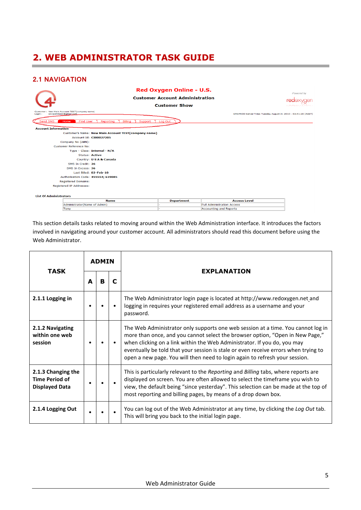## 2. WEB ADMINISTRATOR TASK GUIDE

## 2.1 NAVIGATION

|                                                                                   |                                                      | Red Oxygen Online - U.S.<br><b>Customer Account Administration</b><br><b>Customer Show</b> |                                                               | Powered by<br><b>rea</b> axvaer<br>$\sum_{i=1}^{n}$ |
|-----------------------------------------------------------------------------------|------------------------------------------------------|--------------------------------------------------------------------------------------------|---------------------------------------------------------------|-----------------------------------------------------|
| Customer: New Main Account TEST(company name)<br>acvipahman2@gmail.com.<br>Login: |                                                      |                                                                                            | SMSPROD Server Time: Tuesday August 31 2010 - 03:41:20 (AEST) |                                                     |
| Send SMS<br>Home                                                                  | <b>Find User</b><br>Billing<br>Reporting<br>Support  | Log Out                                                                                    |                                                               |                                                     |
| <b>Account Information</b>                                                        |                                                      |                                                                                            |                                                               |                                                     |
|                                                                                   | Customer's Name: New Main Account TEST(company name) |                                                                                            |                                                               |                                                     |
|                                                                                   | <b>Account Id: CI00027205</b>                        |                                                                                            |                                                               |                                                     |
| Company No (ABN):                                                                 |                                                      |                                                                                            |                                                               |                                                     |
| Customer Reference No:                                                            |                                                      |                                                                                            |                                                               |                                                     |
|                                                                                   | Type - Class: Internal - N/A                         |                                                                                            |                                                               |                                                     |
|                                                                                   | <b>Status: Active</b>                                |                                                                                            |                                                               |                                                     |
|                                                                                   | Country: U S A & Canada                              |                                                                                            |                                                               |                                                     |
| SMS In Credit: 26                                                                 |                                                      |                                                                                            |                                                               |                                                     |
| SMS In Excess: 36                                                                 |                                                      |                                                                                            |                                                               |                                                     |
|                                                                                   | Last Billed: 02-Feb-10                               |                                                                                            |                                                               |                                                     |
|                                                                                   | Authorisation Code: 455554; 619085                   |                                                                                            |                                                               |                                                     |
| <b>Registered Domains:</b>                                                        |                                                      |                                                                                            |                                                               |                                                     |
| Registered IP Addresses:                                                          |                                                      |                                                                                            |                                                               |                                                     |
| <b>List Of Administrators</b>                                                     |                                                      |                                                                                            |                                                               |                                                     |
|                                                                                   | <b>Name</b>                                          | <b>Department</b>                                                                          | <b>Access Level</b>                                           |                                                     |
|                                                                                   | Administrator(Name of Admin)                         |                                                                                            | <b>Full Administration Access</b>                             |                                                     |
| Tony                                                                              |                                                      |                                                                                            | Accounting and Reports                                        |                                                     |

This section details tasks related to moving around within the Web Administration interface. It introduces the factors involved in navigating around your customer account. All administrators should read this document before using the Web Administrator.

|                                                                      |   | <b>ADMIN</b> |   |                                                                                                                                                                                                                                                                                                                                                                                                                     |  |  |
|----------------------------------------------------------------------|---|--------------|---|---------------------------------------------------------------------------------------------------------------------------------------------------------------------------------------------------------------------------------------------------------------------------------------------------------------------------------------------------------------------------------------------------------------------|--|--|
| <b>TASK</b>                                                          | A | в            | С | <b>EXPLANATION</b>                                                                                                                                                                                                                                                                                                                                                                                                  |  |  |
| 2.1.1 Logging in                                                     |   |              |   | The Web Administrator login page is located at http://www.redoxygen.net_and<br>logging in requires your registered email address as a username and your<br>password.                                                                                                                                                                                                                                                |  |  |
| 2.1.2 Navigating<br>within one web<br>session                        |   |              |   | The Web Administrator only supports one web session at a time. You cannot log in<br>more than once, and you cannot select the browser option, "Open in New Page,"<br>when clicking on a link within the Web Administrator. If you do, you may<br>eventually be told that your session is stale or even receive errors when trying to<br>open a new page. You will then need to login again to refresh your session. |  |  |
| 2.1.3 Changing the<br><b>Time Period of</b><br><b>Displayed Data</b> |   |              |   | This is particularly relevant to the Reporting and Billing tabs, where reports are<br>displayed on screen. You are often allowed to select the timeframe you wish to<br>view, the default being "since yesterday". This selection can be made at the top of<br>most reporting and billing pages, by means of a drop down box.                                                                                       |  |  |
| 2.1.4 Logging Out                                                    |   |              |   | You can log out of the Web Administrator at any time, by clicking the Log Out tab.<br>This will bring you back to the initial login page.                                                                                                                                                                                                                                                                           |  |  |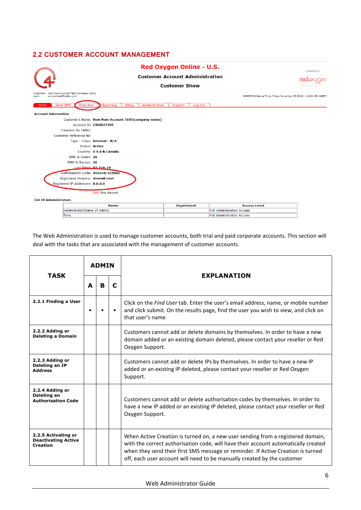## 2.2 CUSTOMER ACCOUNT MANAGEMENT

|                                 |                                                                 | Red Oxygen Online - U.S.               |                                                                | Powered by   |
|---------------------------------|-----------------------------------------------------------------|----------------------------------------|----------------------------------------------------------------|--------------|
|                                 |                                                                 | <b>Customer Account Administration</b> |                                                                | reaa         |
|                                 |                                                                 | <b>Customer Show</b>                   |                                                                | <b>LOOKS</b> |
|                                 |                                                                 |                                        |                                                                |              |
| acvipahman@yahoo.com<br>Login : | Customer: New Main Account TEST(company name)                   |                                        | SMSPROD Server Time: Friday November 05 2010 - 13:30:58 (AEST) |              |
| Home                            | Billing<br>Send SMS<br>Reporting<br>Administration<br>Find User | Support<br>Log Out                     |                                                                |              |
| <b>Account Information</b>      |                                                                 |                                        |                                                                |              |
|                                 | Customer's Name: New Main Account TEST(company name)            |                                        |                                                                |              |
|                                 | Account Id: CI00027205                                          |                                        |                                                                |              |
|                                 | Company No (ABN):                                               |                                        |                                                                |              |
|                                 | Customer Reference No:                                          |                                        |                                                                |              |
|                                 | Type - Class: Internal - N/A                                    |                                        |                                                                |              |
|                                 | <b>Status: Active</b>                                           |                                        |                                                                |              |
|                                 | Country: U S A & Canada                                         |                                        |                                                                |              |
|                                 | SMS In Credit: 26                                               |                                        |                                                                |              |
|                                 | SMS In Excess: 36                                               |                                        |                                                                |              |
|                                 | Last Rilled: 02-Eeb-10                                          |                                        |                                                                |              |
|                                 | Authorisation Code: 455554; 619085                              |                                        |                                                                |              |
|                                 | Registered Domains: @email.com                                  |                                        |                                                                |              |
|                                 | Registered IP Addresses: 0.0.0.0                                |                                        |                                                                |              |
|                                 |                                                                 |                                        |                                                                |              |
|                                 | <b>Edit This Record</b>                                         |                                        |                                                                |              |
| <b>List Of Administrators</b>   |                                                                 |                                        |                                                                |              |
|                                 | <b>Name</b>                                                     | <b>Department</b>                      | <b>Access Level</b>                                            |              |
|                                 | Administrator(Name of Admin)                                    |                                        | <b>Full Administration Access</b>                              |              |
|                                 | Tony                                                            |                                        | <b>Full Administration Access</b>                              |              |

The Web Administration is used to manage customer accounts, both trial and paid corporate accounts. This section will deal with the tasks that are associated with the management of customer accounts.

| <b>TASK</b>                                                          | <b>ADMIN</b> |        |           | <b>EXPLANATION</b>                                                                                                                                                                                                                                                                                                                   |  |  |  |
|----------------------------------------------------------------------|--------------|--------|-----------|--------------------------------------------------------------------------------------------------------------------------------------------------------------------------------------------------------------------------------------------------------------------------------------------------------------------------------------|--|--|--|
|                                                                      | A            | B<br>C |           |                                                                                                                                                                                                                                                                                                                                      |  |  |  |
| 2.2.1 Finding a User                                                 |              |        | $\bullet$ | Click on the Find User tab. Enter the user's email address, name, or mobile number<br>and click submit. On the results page, find the user you wish to view, and click on<br>that user's name.                                                                                                                                       |  |  |  |
| 2.2.2 Adding or<br><b>Deleting a Domain</b>                          |              |        |           | Customers cannot add or delete domains by themselves. In order to have a new<br>domain added or an existing domain deleted, please contact your reseller or Red<br>Oxygen Support.                                                                                                                                                   |  |  |  |
| 2.2.3 Adding or<br>Deleting an IP<br><b>Address</b>                  |              |        |           | Customers cannot add or delete IPs by themselves. In order to have a new IP<br>added or an existing IP deleted, please contact your reseller or Red Oxygen<br>Support.                                                                                                                                                               |  |  |  |
| 2.2.4 Adding or<br>Deleting an<br><b>Authorisation Code</b>          |              |        |           | Customers cannot add or delete authorisation codes by themselves. In order to<br>have a new IP added or an existing IP deleted, please contact your reseller or Red<br>Oxygen Support.                                                                                                                                               |  |  |  |
| 2.2.5 Activating or<br><b>Deactivating Active</b><br><b>Creation</b> |              |        |           | When Active Creation is turned on, a new user sending from a registered domain,<br>with the correct authorisation code, will have their account automatically created<br>when they send their first SMS message or reminder. If Active Creation is turned<br>off, each user account will need to be manually created by the customer |  |  |  |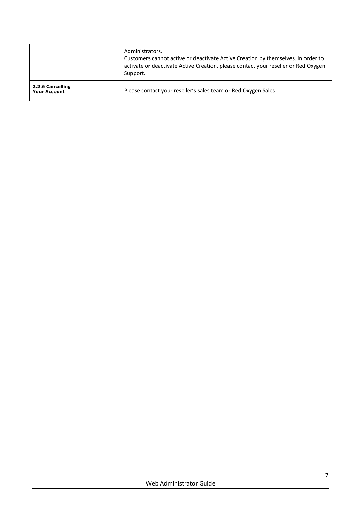|                                         |  | Administrators.<br>Customers cannot active or deactivate Active Creation by themselves. In order to<br>activate or deactivate Active Creation, please contact your reseller or Red Oxygen<br>Support. |
|-----------------------------------------|--|-------------------------------------------------------------------------------------------------------------------------------------------------------------------------------------------------------|
| 2.2.6 Cancelling<br><b>Your Account</b> |  | Please contact your reseller's sales team or Red Oxygen Sales.                                                                                                                                        |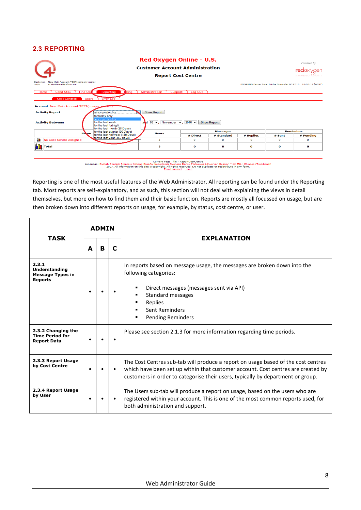## 2.3 REPORTING

| (4)                                                                                                                                                           |                                                                                                                |             | Powered by<br>rea@            |           |          |                               |  |  |
|---------------------------------------------------------------------------------------------------------------------------------------------------------------|----------------------------------------------------------------------------------------------------------------|-------------|-------------------------------|-----------|----------|-------------------------------|--|--|
| Customer: New Main Account TEST(company name)<br>acvipahman@yahoo.com<br>Login:                                                                               | SMSPROD Server Time: Friday November 05 2010 - 13:59:11 (AEST)                                                 |             |                               |           |          |                               |  |  |
| Send SMS<br>Find Use<br>Reporting<br>Home<br><b>Cost Centres</b><br><b>Users</b><br><b>Error Log</b><br><b>Account: New Main Account TEST (company memer)</b> | Administration<br><b>Billing</b><br>Support                                                                    | Log Out     |                               |           |          |                               |  |  |
| <b>Activity Report</b><br>since yesterday<br>for today only<br>since yesterday<br>for the last week<br><b>Activity Between</b><br>for the last fortnight      | <b>Show Report</b><br>and $05 -$ , November $\rightarrow$ , 2010 $\rightarrow$<br>for the last month (28 Days) |             | <b>Show Report</b>            |           |          |                               |  |  |
| Name                                                                                                                                                          | for the last quarter (90 Days)<br><b>Ilsers</b><br>for the last half year (180 Days)                           | # Direct    | <b>Messages</b><br># Standard | # Replies | # Sent   | <b>Reminders</b><br># Pending |  |  |
| fü,<br>No Cost Centre Assigned                                                                                                                                | for the last year (365 days)<br>3                                                                              | $\Omega$    | $\mathbf{o}$                  | $\Omega$  | $\Omega$ | $\mathbf{o}$                  |  |  |
| Total                                                                                                                                                         | з                                                                                                              | $\mathbf o$ | $\bf o$                       | $\bf o$   | o        | $\mathbf o$                   |  |  |
|                                                                                                                                                               |                                                                                                                |             |                               |           |          |                               |  |  |

Current Page Title - ReportCostCentre<br>Language: <u>English Deutsch Francais Italiano Español Neglerlands Po</u>misie <u>Portugues Lithuanian Russian 中文(著作) Chinese (Traditional)</u><br>2007. All information on this site is copyrigh E

Reporting is one of the most useful features of the Web Administrator. All reporting can be found under the Reporting tab. Most reports are self-explanatory, and as such, this section will not deal with explaining the views in detail themselves, but more on how to find them and their basic function. Reports are mostly all focussed on usage, but are then broken down into different reports on usage, for example, by status, cost centre, or user.

| <b>TASK</b>                                                         | <b>ADMIN</b> |   |           | <b>EXPLANATION</b>                                                                                                                                                                                                                                       |  |
|---------------------------------------------------------------------|--------------|---|-----------|----------------------------------------------------------------------------------------------------------------------------------------------------------------------------------------------------------------------------------------------------------|--|
|                                                                     | A            | B | C         |                                                                                                                                                                                                                                                          |  |
| 2.3.1<br>Understanding<br><b>Message Types in</b><br><b>Reports</b> |              |   |           | In reports based on message usage, the messages are broken down into the<br>following categories:<br>Direct messages (messages sent via API)<br>Standard messages<br>Replies<br><b>Sent Reminders</b><br><b>Pending Reminders</b>                        |  |
| 2.3.2 Changing the<br><b>Time Period for</b><br><b>Report Data</b>  |              |   |           | Please see section 2.1.3 for more information regarding time periods.                                                                                                                                                                                    |  |
| 2.3.3 Report Usage<br>by Cost Centre                                |              |   |           | The Cost Centres sub-tab will produce a report on usage based of the cost centres<br>which have been set up within that customer account. Cost centres are created by<br>customers in order to categorise their users, typically by department or group. |  |
| 2.3.4 Report Usage<br>by User                                       | $\bullet$    |   | $\bullet$ | The Users sub-tab will produce a report on usage, based on the users who are<br>registered within your account. This is one of the most common reports used, for<br>both administration and support.                                                     |  |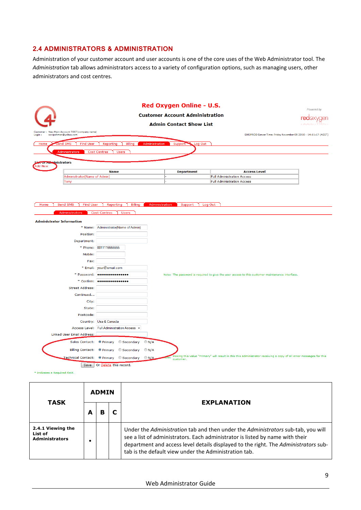#### 2.4 ADMINISTRATORS & ADMINISTRATION

Administration of your customer account and user accounts is one of the core uses of the Web Administrator tool. The Administration tab allows administrators access to a variety of configuration options, such as managing users, other administrators and cost centres.

|                                                                                                                                         | <b>Red Oxygen Online - U.S.</b>        |                                                                | Powered by |  |  |  |  |
|-----------------------------------------------------------------------------------------------------------------------------------------|----------------------------------------|----------------------------------------------------------------|------------|--|--|--|--|
| $\overline{4}$                                                                                                                          | <b>Customer Account Administration</b> |                                                                |            |  |  |  |  |
|                                                                                                                                         | <b>Admin Contact Show List</b>         |                                                                |            |  |  |  |  |
| Customer: New Main Account TEST(company name)<br>acvipahman@yahoo.com<br>Login:                                                         |                                        | SMSPROD Server Time: Friday November 05 2010 - 14:11:17 (AEST) |            |  |  |  |  |
| Administration<br>Send SMS<br>Find User<br>Reporting<br>Billing<br>Home<br><b>Administrators</b><br><b>Cost Centres</b><br><b>Users</b> | Log Out<br>Support <sup>**</sup>       |                                                                |            |  |  |  |  |
| List or Administrators<br><b>Add New</b>                                                                                                |                                        |                                                                |            |  |  |  |  |
| <b>Name</b>                                                                                                                             | <b>Department</b>                      | <b>Access Level</b>                                            |            |  |  |  |  |
| Administrator(Name of Admin)                                                                                                            |                                        | <b>Full Administration Access</b>                              |            |  |  |  |  |
| Tony                                                                                                                                    |                                        | <b>Full Administration Access</b>                              |            |  |  |  |  |
|                                                                                                                                         |                                        |                                                                |            |  |  |  |  |

#### Home Send SMS | Find User | Reporting | Billing | Administration | Support | Log Out

| Administrators                   | <b>Cost Centres</b><br><b>Users</b>                                                                                                           |                                                                                                                                                           |
|----------------------------------|-----------------------------------------------------------------------------------------------------------------------------------------------|-----------------------------------------------------------------------------------------------------------------------------------------------------------|
| <b>Administrator Information</b> |                                                                                                                                               |                                                                                                                                                           |
|                                  | * Name: Administrator(Name of Admin)                                                                                                          |                                                                                                                                                           |
| Position:                        |                                                                                                                                               |                                                                                                                                                           |
| Department:                      |                                                                                                                                               |                                                                                                                                                           |
|                                  | * Phone: 0011115555555                                                                                                                        |                                                                                                                                                           |
| Mobile:                          |                                                                                                                                               |                                                                                                                                                           |
| Fax:                             |                                                                                                                                               |                                                                                                                                                           |
|                                  | * Email: your@email.com                                                                                                                       |                                                                                                                                                           |
|                                  | * Password: $\bullet \bullet \bullet \bullet \bullet \bullet \bullet \bullet \bullet \bullet \bullet \bullet \bullet \bullet \bullet \bullet$ | Note: The password is required to give the user access to this customer maintenance interface.                                                            |
|                                  | * Confirm:   ****************                                                                                                                 |                                                                                                                                                           |
| <b>Street Address:</b>           |                                                                                                                                               |                                                                                                                                                           |
| Continued                        |                                                                                                                                               |                                                                                                                                                           |
| City:                            |                                                                                                                                               |                                                                                                                                                           |
| State:                           |                                                                                                                                               |                                                                                                                                                           |
| Postcode:                        |                                                                                                                                               |                                                                                                                                                           |
|                                  | Country: Usa & Canada<br>Access Level: Full Administration Access v                                                                           |                                                                                                                                                           |
| Linked User Email Address:       |                                                                                                                                               |                                                                                                                                                           |
| Sales Contact:                   | O Primary © Secondary                                                                                                                         | $\bigcirc$ N/A                                                                                                                                            |
|                                  |                                                                                                                                               |                                                                                                                                                           |
|                                  | Billing Contact: O Primary © Secondary                                                                                                        | $\bigcirc$ N/A                                                                                                                                            |
| Technical Contact:               | O Primary © Secondary                                                                                                                         | Making this value "Primary" will result in this this administrator receiving a copy of all error messages for this<br>$\bigcirc$ N/A<br>oten<br>customer. |
| Save                             | Or Delete this record.                                                                                                                        |                                                                                                                                                           |

\* Indicates a Required Field.

| <b>TASK</b>                                           |   | <b>ADMIN</b> | <b>EXPLANATION</b>                                                                                                                                                                                                                                                                                                |
|-------------------------------------------------------|---|--------------|-------------------------------------------------------------------------------------------------------------------------------------------------------------------------------------------------------------------------------------------------------------------------------------------------------------------|
|                                                       | A | в            |                                                                                                                                                                                                                                                                                                                   |
| 2.4.1 Viewing the<br>List of<br><b>Administrators</b> |   |              | Under the Administration tab and then under the Administrators sub-tab, you will<br>see a list of administrators. Each administrator is listed by name with their<br>department and access level details displayed to the right. The Administrators sub-<br>tab is the default view under the Administration tab. |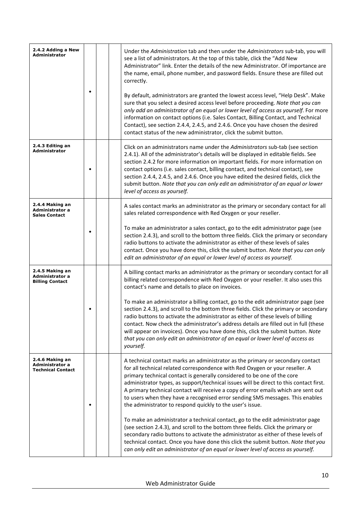| 2.4.2 Adding a New<br><b>Administrator</b>                     |  | Under the Administration tab and then under the Administrators sub-tab, you will<br>see a list of administrators. At the top of this table, click the "Add New<br>Administrator" link. Enter the details of the new Administrator. Of importance are<br>the name, email, phone number, and password fields. Ensure these are filled out<br>correctly.<br>By default, administrators are granted the lowest access level, "Help Desk". Make<br>sure that you select a desired access level before proceeding. Note that you can<br>only add an administrator of an equal or lower level of access as yourself. For more<br>information on contact options (i.e. Sales Contact, Billing Contact, and Technical<br>Contact), see section 2.4.4, 2.4.5, and 2.4.6. Once you have chosen the desired<br>contact status of the new administrator, click the submit button.                                                                                                                                          |
|----------------------------------------------------------------|--|---------------------------------------------------------------------------------------------------------------------------------------------------------------------------------------------------------------------------------------------------------------------------------------------------------------------------------------------------------------------------------------------------------------------------------------------------------------------------------------------------------------------------------------------------------------------------------------------------------------------------------------------------------------------------------------------------------------------------------------------------------------------------------------------------------------------------------------------------------------------------------------------------------------------------------------------------------------------------------------------------------------|
| 2.4.3 Editing an<br>Administrator                              |  | Click on an administrators name under the Administrators sub-tab (see section<br>2.4.1). All of the administrator's details will be displayed in editable fields. See<br>section 2.4.2 for more information on important fields. For more information on<br>contact options (i.e. sales contact, billing contact, and technical contact), see<br>section 2.4.4, 2.4.5, and 2.4.6. Once you have edited the desired fields, click the<br>submit button. Note that you can only edit an administrator of an equal or lower<br>level of access as yourself.                                                                                                                                                                                                                                                                                                                                                                                                                                                      |
| 2.4.4 Making an<br>Administrator a<br><b>Sales Contact</b>     |  | A sales contact marks an administrator as the primary or secondary contact for all<br>sales related correspondence with Red Oxygen or your reseller.<br>To make an administrator a sales contact, go to the edit administrator page (see<br>section 2.4.3), and scroll to the bottom three fields. Click the primary or secondary<br>radio buttons to activate the administrator as either of these levels of sales<br>contact. Once you have done this, click the submit button. Note that you can only<br>edit an administrator of an equal or lower level of access as yourself.                                                                                                                                                                                                                                                                                                                                                                                                                           |
| 2.4.5 Making an<br>Administrator a<br><b>Billing Contact</b>   |  | A billing contact marks an administrator as the primary or secondary contact for all<br>billing related correspondence with Red Oxygen or your reseller. It also uses this<br>contact's name and details to place on invoices.<br>To make an administrator a billing contact, go to the edit administrator page (see<br>section 2.4.3), and scroll to the bottom three fields. Click the primary or secondary<br>radio buttons to activate the administrator as either of these levels of billing<br>contact. Now check the administrator's address details are filled out in full (these<br>will appear on invoices). Once you have done this, click the submit button. Note<br>that you can only edit an administrator of an equal or lower level of access as<br>yourself.                                                                                                                                                                                                                                 |
| 2.4.6 Making an<br>Administrator a<br><b>Technical Contact</b> |  | A technical contact marks an administrator as the primary or secondary contact<br>for all technical related correspondence with Red Oxygen or your reseller. A<br>primary technical contact is generally considered to be one of the core<br>administrator types, as support/technical issues will be direct to this contact first.<br>A primary technical contact will receive a copy of error emails which are sent out<br>to users when they have a recognised error sending SMS messages. This enables<br>the administrator to respond quickly to the user's issue.<br>To make an administrator a technical contact, go to the edit administrator page<br>(see section 2.4.3), and scroll to the bottom three fields. Click the primary or<br>secondary radio buttons to activate the administrator as either of these levels of<br>technical contact. Once you have done this click the submit button. Note that you<br>can only edit an administrator of an equal or lower level of access as yourself. |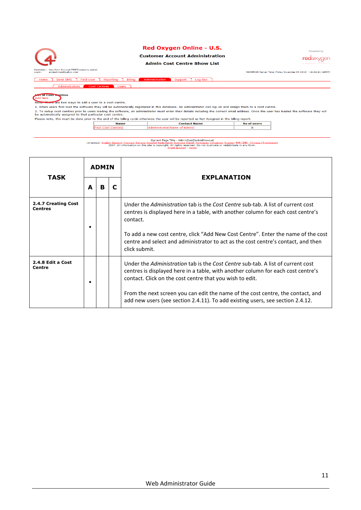

#### Red Oxygen Online - U.S.

#### **Customer Account Administration**

**Admin Cost Centre Show List** 

SMSPROD Server Time: Friday November 05 2010 - 14:24:41 (AEST)

Powered by

redoxygen

Home Send SMS | Find User | Reporting | Billing Support Log Out Administrators

**Acid New**<br>Add New<br>Note<del>, There</del> are two ways to add a user to a cost centre.

1. When users first load the software they will be automatically registered in this database. An administrator can log-on and assign them to a cost centre. are written users instructed the software they will be additionally registered in this database. An administrator can log-on and assign diem to a cost center.<br>2. To setup cost centres prior to users loading the software, a

| Please note, this must be done prior to the end of the billing cycle otherwise the user will be reported as Not Assigned in the billing report. |                   |                              |             |  |  |  |  |
|-------------------------------------------------------------------------------------------------------------------------------------------------|-------------------|------------------------------|-------------|--|--|--|--|
|                                                                                                                                                 |                   |                              |             |  |  |  |  |
|                                                                                                                                                 | <b>Name</b>       | <b>Contact Name</b>          | No of users |  |  |  |  |
|                                                                                                                                                 | Fext Cost Centres | Administrator(Name of Admin) |             |  |  |  |  |

Current Page Title - AdminCostCentreShowList<br>Language: <u>English Deutsch Francais Italiano Español Nederlands Svenska Dansk Portugues Lithuanian Russian 中文(寛) Chinese (Traditional)<br>2007. All information on this site is cop</u>

|                                       |   | <b>ADMIN</b> |   |                                                                                                                                                                                                                                                                                                                                                                                                      |  |
|---------------------------------------|---|--------------|---|------------------------------------------------------------------------------------------------------------------------------------------------------------------------------------------------------------------------------------------------------------------------------------------------------------------------------------------------------------------------------------------------------|--|
| <b>TASK</b>                           | A | B            | C | <b>EXPLANATION</b>                                                                                                                                                                                                                                                                                                                                                                                   |  |
| 2.4.7 Creating Cost<br><b>Centres</b> |   |              |   | Under the Administration tab is the Cost Centre sub-tab. A list of current cost<br>centres is displayed here in a table, with another column for each cost centre's<br>contact.<br>To add a new cost centre, click "Add New Cost Centre". Enter the name of the cost<br>centre and select and administrator to act as the cost centre's contact, and then<br>click submit.                           |  |
| 2.4.8 Edit a Cost<br>Centre           |   |              |   | Under the Administration tab is the Cost Centre sub-tab. A list of current cost<br>centres is displayed here in a table, with another column for each cost centre's<br>contact. Click on the cost centre that you wish to edit.<br>From the next screen you can edit the name of the cost centre, the contact, and<br>add new users (see section 2.4.11). To add existing users, see section 2.4.12. |  |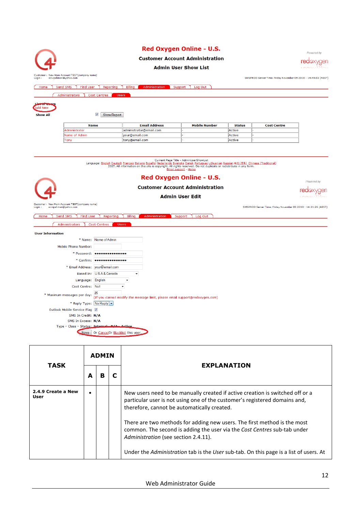

| <b>TASK</b>                |   | <b>EXPLANATION</b>                                                                                                                                                                                                                                                                                                                                                                                         |
|----------------------------|---|------------------------------------------------------------------------------------------------------------------------------------------------------------------------------------------------------------------------------------------------------------------------------------------------------------------------------------------------------------------------------------------------------------|
|                            | в |                                                                                                                                                                                                                                                                                                                                                                                                            |
| 2.4.9 Create a New<br>User |   | New users need to be manually created if active creation is switched off or a<br>particular user is not using one of the customer's registered domains and,<br>therefore, cannot be automatically created.<br>There are two methods for adding new users. The first method is the most<br>common. The second is adding the user via the Cost Centres sub-tab under<br>Administration (see section 2.4.11). |
|                            |   | Under the Administration tab is the User sub-tab. On this page is a list of users. At                                                                                                                                                                                                                                                                                                                      |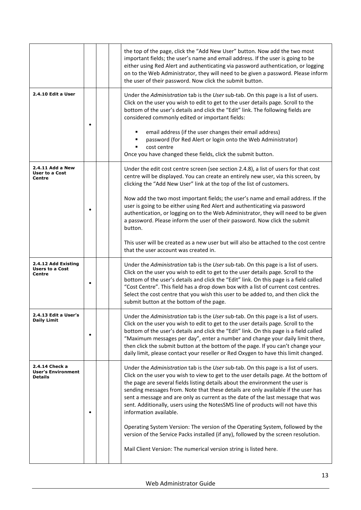|                                                               |   |  |  | the top of the page, click the "Add New User" button. Now add the two most<br>important fields; the user's name and email address. If the user is going to be<br>either using Red Alert and authenticating via password authentication, or logging<br>on to the Web Administrator, they will need to be given a password. Please inform<br>the user of their password. Now click the submit button.                                                                                                                                               |
|---------------------------------------------------------------|---|--|--|---------------------------------------------------------------------------------------------------------------------------------------------------------------------------------------------------------------------------------------------------------------------------------------------------------------------------------------------------------------------------------------------------------------------------------------------------------------------------------------------------------------------------------------------------|
| 2.4.10 Edit a User                                            |   |  |  | Under the Administration tab is the User sub-tab. On this page is a list of users.<br>Click on the user you wish to edit to get to the user details page. Scroll to the<br>bottom of the user's details and click the "Edit" link. The following fields are<br>considered commonly edited or important fields:<br>email address (if the user changes their email address)<br>password (for Red Alert or login onto the Web Administrator)                                                                                                         |
|                                                               |   |  |  | cost centre<br>Once you have changed these fields, click the submit button.                                                                                                                                                                                                                                                                                                                                                                                                                                                                       |
| 2.4.11 Add a New<br><b>User to a Cost</b><br>Centre           |   |  |  | Under the edit cost centre screen (see section 2.4.8), a list of users for that cost<br>centre will be displayed. You can create an entirely new user, via this screen, by<br>clicking the "Add New User" link at the top of the list of customers.                                                                                                                                                                                                                                                                                               |
|                                                               |   |  |  | Now add the two most important fields; the user's name and email address. If the<br>user is going to be either using Red Alert and authenticating via password<br>authentication, or logging on to the Web Administrator, they will need to be given<br>a password. Please inform the user of their password. Now click the submit<br>button.                                                                                                                                                                                                     |
|                                                               |   |  |  | This user will be created as a new user but will also be attached to the cost centre<br>that the user account was created in.                                                                                                                                                                                                                                                                                                                                                                                                                     |
| 2.4.12 Add Existing<br><b>Users to a Cost</b><br>Centre       | ٠ |  |  | Under the Administration tab is the User sub-tab. On this page is a list of users.<br>Click on the user you wish to edit to get to the user details page. Scroll to the<br>bottom of the user's details and click the "Edit" link. On this page is a field called<br>"Cost Centre". This field has a drop down box with a list of current cost centres.<br>Select the cost centre that you wish this user to be added to, and then click the<br>submit button at the bottom of the page.                                                          |
| 2.4.13 Edit a User's<br><b>Daily Limit</b>                    |   |  |  | Under the Administration tab is the User sub-tab. On this page is a list of users.<br>Click on the user you wish to edit to get to the user details page. Scroll to the<br>bottom of the user's details and click the "Edit" link. On this page is a field called<br>"Maximum messages per day", enter a number and change your daily limit there,<br>then click the submit button at the bottom of the page. If you can't change your<br>daily limit, please contact your reseller or Red Oxygen to have this limit changed.                     |
| 2.4.14 Check a<br><b>User's Environment</b><br><b>Details</b> |   |  |  | Under the Administration tab is the User sub-tab. On this page is a list of users.<br>Click on the user you wish to view to get to the user details page. At the bottom of<br>the page are several fields listing details about the environment the user is<br>sending messages from. Note that these details are only available if the user has<br>sent a message and are only as current as the date of the last message that was<br>sent. Additionally, users using the NotesSMS line of products will not have this<br>information available. |
|                                                               |   |  |  | Operating System Version: The version of the Operating System, followed by the<br>version of the Service Packs installed (if any), followed by the screen resolution.<br>Mail Client Version: The numerical version string is listed here.                                                                                                                                                                                                                                                                                                        |
|                                                               |   |  |  |                                                                                                                                                                                                                                                                                                                                                                                                                                                                                                                                                   |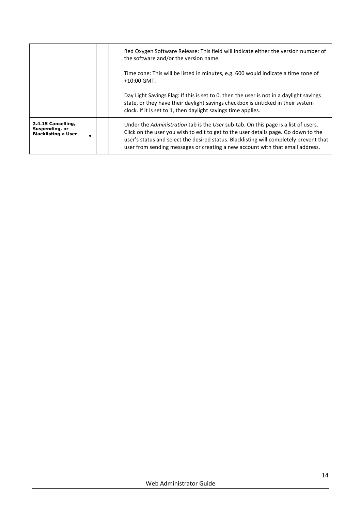|                                                                    |  | Red Oxygen Software Release: This field will indicate either the version number of<br>the software and/or the version name.                                                                                                                                                                                                                         |
|--------------------------------------------------------------------|--|-----------------------------------------------------------------------------------------------------------------------------------------------------------------------------------------------------------------------------------------------------------------------------------------------------------------------------------------------------|
|                                                                    |  | Time zone: This will be listed in minutes, e.g. 600 would indicate a time zone of<br>$+10:00$ GMT.                                                                                                                                                                                                                                                  |
|                                                                    |  | Day Light Savings Flag: If this is set to 0, then the user is not in a daylight savings<br>state, or they have their daylight savings checkbox is unticked in their system<br>clock. If it is set to 1, then daylight savings time applies.                                                                                                         |
| 2.4.15 Cancelling,<br>Suspending, or<br><b>Blacklisting a User</b> |  | Under the Administration tab is the User sub-tab. On this page is a list of users.<br>Click on the user you wish to edit to get to the user details page. Go down to the<br>user's status and select the desired status. Blacklisting will completely prevent that<br>user from sending messages or creating a new account with that email address. |